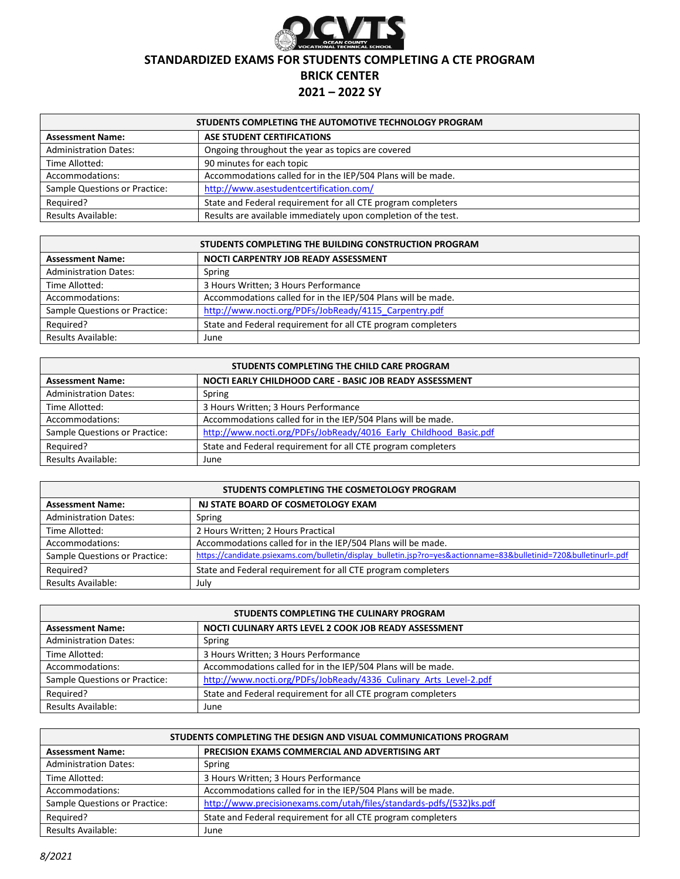

### **STANDARDIZED EXAMS FOR STUDENTS COMPLETING A CTE PROGRAM**

# **BRICK CENTER**

### **2021 – 2022 SY**

| STUDENTS COMPLETING THE AUTOMOTIVE TECHNOLOGY PROGRAM |                                                                |
|-------------------------------------------------------|----------------------------------------------------------------|
| <b>Assessment Name:</b>                               | ASE STUDENT CERTIFICATIONS                                     |
| <b>Administration Dates:</b>                          | Ongoing throughout the year as topics are covered              |
| Time Allotted:                                        | 90 minutes for each topic                                      |
| Accommodations:                                       | Accommodations called for in the IEP/504 Plans will be made.   |
| Sample Questions or Practice:                         | http://www.asestudentcertification.com/                        |
| Required?                                             | State and Federal requirement for all CTE program completers   |
| <b>Results Available:</b>                             | Results are available immediately upon completion of the test. |

| STUDENTS COMPLETING THE BUILDING CONSTRUCTION PROGRAM |                                                              |
|-------------------------------------------------------|--------------------------------------------------------------|
| <b>Assessment Name:</b>                               | NOCTI CARPENTRY JOB READY ASSESSMENT                         |
| <b>Administration Dates:</b>                          | Spring                                                       |
| Time Allotted:                                        | 3 Hours Written; 3 Hours Performance                         |
| Accommodations:                                       | Accommodations called for in the IEP/504 Plans will be made. |
| Sample Questions or Practice:                         | http://www.nocti.org/PDFs/JobReady/4115 Carpentry.pdf        |
| Required?                                             | State and Federal requirement for all CTE program completers |
| <b>Results Available:</b>                             | June                                                         |

| STUDENTS COMPLETING THE CHILD CARE PROGRAM |                                                                   |
|--------------------------------------------|-------------------------------------------------------------------|
| <b>Assessment Name:</b>                    | NOCTI EARLY CHILDHOOD CARE - BASIC JOB READY ASSESSMENT           |
| <b>Administration Dates:</b>               | Spring                                                            |
| Time Allotted:                             | 3 Hours Written; 3 Hours Performance                              |
| Accommodations:                            | Accommodations called for in the IEP/504 Plans will be made.      |
| Sample Questions or Practice:              | http://www.nocti.org/PDFs/JobReady/4016 Early Childhood Basic.pdf |
| Required?                                  | State and Federal requirement for all CTE program completers      |
| Results Available:                         | June                                                              |

| STUDENTS COMPLETING THE COSMETOLOGY PROGRAM |                                                                                                                   |
|---------------------------------------------|-------------------------------------------------------------------------------------------------------------------|
| <b>Assessment Name:</b>                     | NJ STATE BOARD OF COSMETOLOGY EXAM                                                                                |
| <b>Administration Dates:</b>                | Spring                                                                                                            |
| Time Allotted:                              | 2 Hours Written; 2 Hours Practical                                                                                |
| Accommodations:                             | Accommodations called for in the IEP/504 Plans will be made.                                                      |
| Sample Questions or Practice:               | https://candidate.psiexams.com/bulletin/display_bulletin.jsp?ro=yes&actionname=83&bulletinid=720&bulletinurl=.pdf |
| Required?                                   | State and Federal requirement for all CTE program completers                                                      |
| Results Available:                          | July                                                                                                              |

| STUDENTS COMPLETING THE CULINARY PROGRAM |                                                                   |
|------------------------------------------|-------------------------------------------------------------------|
| <b>Assessment Name:</b>                  | NOCTI CULINARY ARTS LEVEL 2 COOK JOB READY ASSESSMENT             |
| <b>Administration Dates:</b>             | Spring                                                            |
| Time Allotted:                           | 3 Hours Written; 3 Hours Performance                              |
| Accommodations:                          | Accommodations called for in the IEP/504 Plans will be made.      |
| Sample Questions or Practice:            | http://www.nocti.org/PDFs/JobReady/4336 Culinary Arts Level-2.pdf |
| Required?                                | State and Federal requirement for all CTE program completers      |
| Results Available:                       | June                                                              |

| STUDENTS COMPLETING THE DESIGN AND VISUAL COMMUNICATIONS PROGRAM |                                                                     |
|------------------------------------------------------------------|---------------------------------------------------------------------|
| <b>Assessment Name:</b>                                          | <b>PRECISION EXAMS COMMERCIAL AND ADVERTISING ART</b>               |
| <b>Administration Dates:</b>                                     | Spring                                                              |
| Time Allotted:                                                   | 3 Hours Written; 3 Hours Performance                                |
| Accommodations:                                                  | Accommodations called for in the IEP/504 Plans will be made.        |
| Sample Questions or Practice:                                    | http://www.precisionexams.com/utah/files/standards-pdfs/(532)ks.pdf |
| Reguired?                                                        | State and Federal requirement for all CTE program completers        |
| Results Available:                                               | June                                                                |